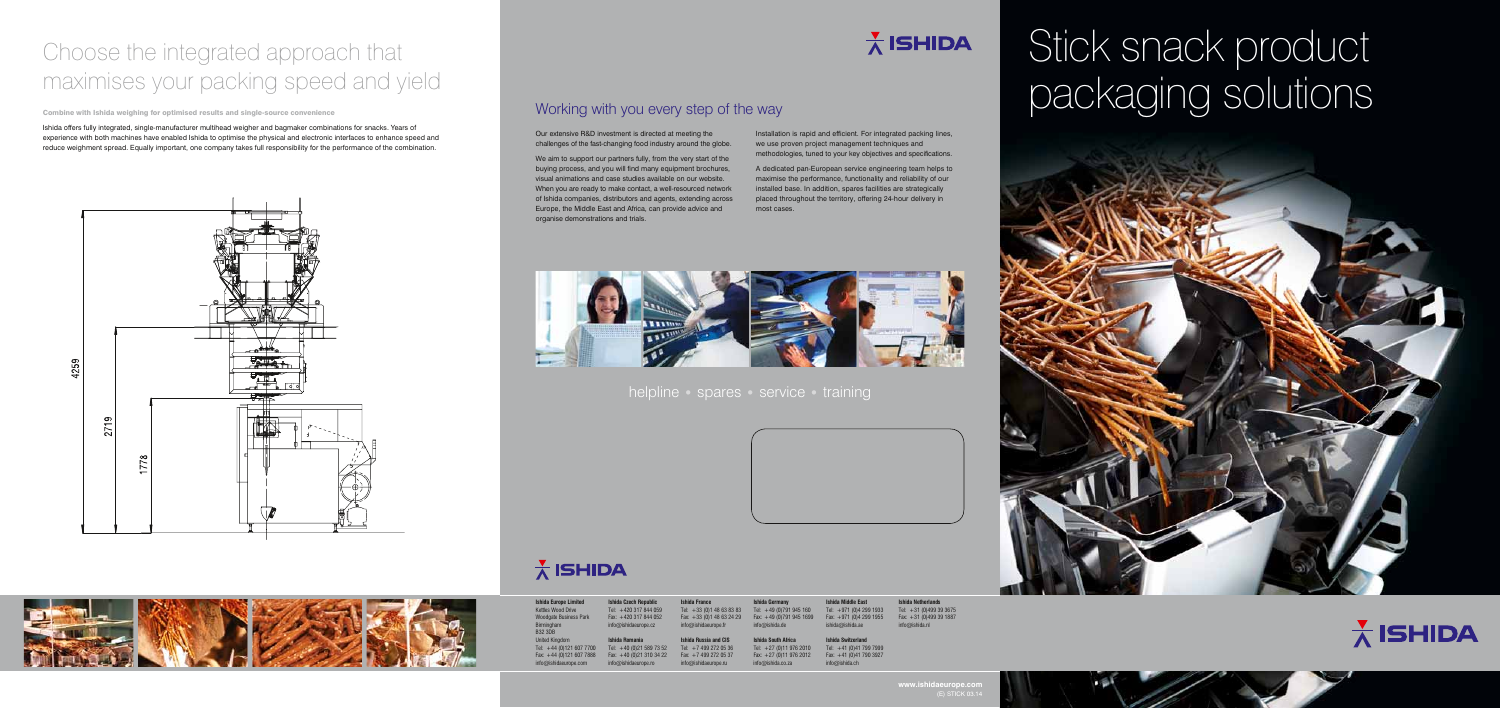# Stick snack product packaging solutions



## Working with you every step of the way

helpline • spares • service • training

Our extensive R&D investment is directed at meeting the challenges of the fast-changing food industry around the globe.

We aim to support our partners fully, from the very start of the buying process, and you will find many equipment brochures, visual animations and case studies available on our website. When you are ready to make contact, a well-resourced network of Ishida companies, distributors and agents, extending across Europe, the Middle East and Africa, can provide advice and organise demonstrations and trials.



## $\frac{1}{\Lambda}$  ISHIDA

Installation is rapid and efficient. For integrated packing lines, we use proven project management techniques and methodologies, tuned to your key objectives and specifications.

> Tel: +41 (0)41 799 7999 Fax: +41 (0)41 790 3927

A dedicated pan-European service engineering team helps to maximise the performance, functionality and reliability of our installed base. In addition, spares facilities are strategically placed throughout the territory, offering 24-hour delivery in most cases.

| <b>Ishida Europe Limited</b><br><b>Kettles Wood Drive</b><br><b>Woodgate Business Park</b><br>Birmingham<br><b>B32 3DB</b> | <b>Ishida Czech Republic</b><br>Tel: +420 317 844 059<br>Fax: $+420$ 317 844 052<br>info@ishidaeurope.cz | <b>Ishida France</b><br>Tel: $+33$ (0)1 48 63 83 83<br>Fax: +33 (0) 1 48 63 24 29<br>info@ishidaeurope.fr  |
|----------------------------------------------------------------------------------------------------------------------------|----------------------------------------------------------------------------------------------------------|------------------------------------------------------------------------------------------------------------|
| <b>United Kingdom</b><br>Tel: +44 (0)121 607 7700<br>Fax: $+44$ (0)121 607 7888<br>info@ishidaeurope.com                   | Ishida Romania<br>Tel: $+40$ (0)21 589 73 52<br>Fax: $+40$ (0)21 310 34 22<br>info@ishidaeurope.ro       | <b>Ishida Russia and CIS</b><br>Tel: $+7$ 499 272 05 36<br>Fax: $+7$ 499 272 05 37<br>info@ishidaeurope.ru |

# $\frac{1}{\Lambda}$  ISHIDA



**Ishida South Africa** Tel: +27 (0)11 976 2010 Fax: +27 (0)11 976 2012  $io@ishida.co.za$ **Ishida Switzerland** info@ishida.ch

**Ishida Middle East** Tel: +971 (0)4 299 1933 Fax: +971 (0)4 299 1955 ishida@ishida.ae

**Ishida Netherlands**

 $\frac{v}{\Lambda}$  ISHIDA

E) STICK 03

www.ishidaeurope.co

Tel: +31 (0)499 39 3675

Fax: +31 (0)499 39 1887 info@ishida.nl

Combine with Ishida weighing for optimised results and single-source convenience

Ishida offers fully integrated, single-manufacturer multihead weigher and bagmaker combinations for snacks. Years of experience with both machines have enabled Ishida to optimise the physical and electronic interfaces to enhance speed and reduce weighment spread. Equally important, one company takes full responsibility for the performance of the combination.





## Choose the integrated approach that maximises your packing speed and yield